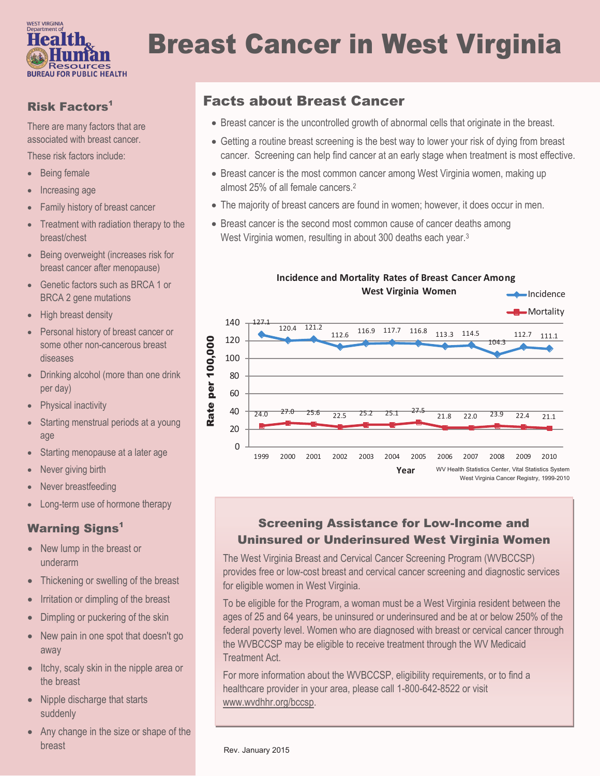

# Breast Cancer in West Virginia

## Risk Factors<sup>1</sup>

There are many factors that are associated with breast cancer.

These risk factors include:

- Being female
- Increasing age
- Family history of breast cancer
- Treatment with radiation therapy to the breast/chest
- Being overweight (increases risk for breast cancer after menopause)
- Genetic factors such as BRCA 1 or BRCA 2 gene mutations
- High breast density
- Personal history of breast cancer or some other non-cancerous breast diseases
- Drinking alcohol (more than one drink per day)
- Physical inactivity
- Starting menstrual periods at a young age
- Starting menopause at a later age
- Never giving birth
- Never breastfeeding
- Long-term use of hormone therapy

### **Warning Signs<sup>1</sup>**

- New lump in the breast or underarm
- Thickening or swelling of the breast
- Irritation or dimpling of the breast
- Dimpling or puckering of the skin
- New pain in one spot that doesn't go away
- Itchy, scaly skin in the nipple area or the breast
- Nipple discharge that starts suddenly
- Any change in the size or shape of the breast

# Facts about Breast Cancer

- Breast cancer is the uncontrolled growth of abnormal cells that originate in the breast.
- Getting a routine breast screening is the best way to lower your risk of dying from breast cancer. Screening can help find cancer at an early stage when treatment is most effective.
- Breast cancer is the most common cancer among West Virginia women, making up almost 25% of all female cancers.<sup>2</sup>
- The majority of breast cancers are found in women; however, it does occur in men.
- Breast cancer is the second most common cause of cancer deaths among West Virginia women, resulting in about 300 deaths each year.<sup>3</sup>



## Screening Assistance for Low-Income and Uninsured or Underinsured West Virginia Women

The West Virginia Breast and Cervical Cancer Screening Program (WVBCCSP) provides free or low-cost breast and cervical cancer screening and diagnostic services for eligible women in West Virginia.

To be eligible for the Program, a woman must be a West Virginia resident between the ages of 25 and 64 years, be uninsured or underinsured and be at or below 250% of the federal poverty level. Women who are diagnosed with breast or cervical cancer through the WVBCCSP may be eligible to receive treatment through the WV Medicaid Treatment Act.

For more information about the WVBCCSP, eligibility requirements, or to find a healthcare provider in your area, please call 1-800-642-8522 or visit www.wvdhhr.org/bccsp.